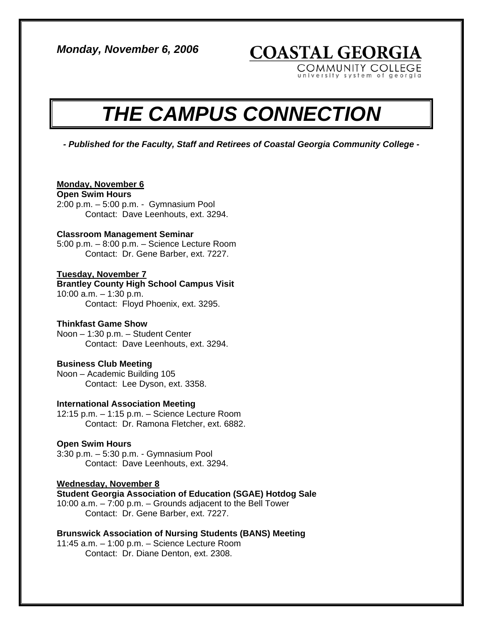*Monday, November 6, 2006* 

**COASTAL GEORGIA** 

COMMUNITY COLLEGE university system of georgia

# *THE CAMPUS CONNECTION*

*- Published for the Faculty, Staff and Retirees of Coastal Georgia Community College -* 

# **Monday, November 6**

**Open Swim Hours** 

2:00 p.m. – 5:00 p.m. - Gymnasium Pool Contact: Dave Leenhouts, ext. 3294.

#### **Classroom Management Seminar**

5:00 p.m. – 8:00 p.m. – Science Lecture Room Contact: Dr. Gene Barber, ext. 7227.

# **Tuesday, November 7**

# **Brantley County High School Campus Visit**  10:00 a.m. – 1:30 p.m.

Contact: Floyd Phoenix, ext. 3295.

# **Thinkfast Game Show**

Noon – 1:30 p.m. – Student Center Contact: Dave Leenhouts, ext. 3294.

# **Business Club Meeting**

Noon – Academic Building 105 Contact: Lee Dyson, ext. 3358.

# **International Association Meeting**

12:15 p.m. – 1:15 p.m. – Science Lecture Room Contact: Dr. Ramona Fletcher, ext. 6882.

# **Open Swim Hours**

3:30 p.m. – 5:30 p.m. - Gymnasium Pool Contact: Dave Leenhouts, ext. 3294.

# **Wednesday, November 8**

**Student Georgia Association of Education (SGAE) Hotdog Sale**  10:00 a.m. – 7:00 p.m. – Grounds adjacent to the Bell Tower Contact: Dr. Gene Barber, ext. 7227.

# **Brunswick Association of Nursing Students (BANS) Meeting**

11:45 a.m. – 1:00 p.m. – Science Lecture Room Contact: Dr. Diane Denton, ext. 2308.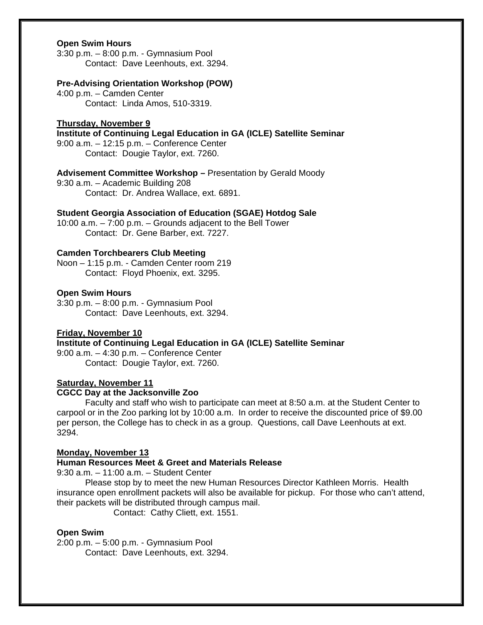# **Open Swim Hours**

3:30 p.m. – 8:00 p.m. - Gymnasium Pool Contact: Dave Leenhouts, ext. 3294.

#### **Pre-Advising Orientation Workshop (POW)**

4:00 p.m. – Camden Center Contact: Linda Amos, 510-3319.

#### **Thursday, November 9**

**Institute of Continuing Legal Education in GA (ICLE) Satellite Seminar** 

9:00 a.m. – 12:15 p.m. – Conference Center Contact: Dougie Taylor, ext. 7260.

**Advisement Committee Workshop –** Presentation by Gerald Moody

9:30 a.m. – Academic Building 208 Contact: Dr. Andrea Wallace, ext. 6891.

# **Student Georgia Association of Education (SGAE) Hotdog Sale**

10:00 a.m. – 7:00 p.m. – Grounds adjacent to the Bell Tower Contact: Dr. Gene Barber, ext. 7227.

# **Camden Torchbearers Club Meeting**

Noon – 1:15 p.m. - Camden Center room 219 Contact: Floyd Phoenix, ext. 3295.

# **Open Swim Hours**

3:30 p.m. – 8:00 p.m. - Gymnasium Pool Contact: Dave Leenhouts, ext. 3294.

#### **Friday, November 10**

**Institute of Continuing Legal Education in GA (ICLE) Satellite Seminar** 

9:00 a.m. – 4:30 p.m. – Conference Center Contact: Dougie Taylor, ext. 7260.

#### **Saturday, November 11**

#### **CGCC Day at the Jacksonville Zoo**

 Faculty and staff who wish to participate can meet at 8:50 a.m. at the Student Center to carpool or in the Zoo parking lot by 10:00 a.m. In order to receive the discounted price of \$9.00 per person, the College has to check in as a group. Questions, call Dave Leenhouts at ext. 3294.

#### **Monday, November 13**

#### **Human Resources Meet & Greet and Materials Release**

9:30 a.m. – 11:00 a.m. – Student Center

Please stop by to meet the new Human Resources Director Kathleen Morris. Health insurance open enrollment packets will also be available for pickup. For those who can't attend, their packets will be distributed through campus mail.

Contact: Cathy Cliett, ext. 1551.

#### **Open Swim**

2:00 p.m. – 5:00 p.m. - Gymnasium Pool Contact: Dave Leenhouts, ext. 3294.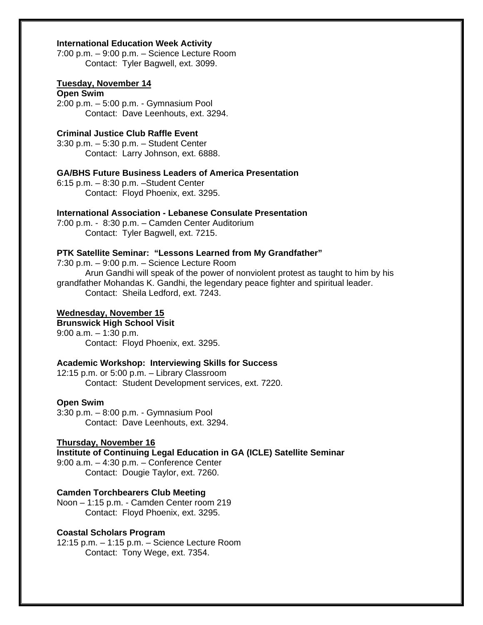# **International Education Week Activity**

7:00 p.m. – 9:00 p.m. – Science Lecture Room Contact: Tyler Bagwell, ext. 3099.

#### **Tuesday, November 14**

## **Open Swim**

2:00 p.m. – 5:00 p.m. - Gymnasium Pool Contact: Dave Leenhouts, ext. 3294.

## **Criminal Justice Club Raffle Event**

3:30 p.m. – 5:30 p.m. – Student Center Contact: Larry Johnson, ext. 6888.

# **GA/BHS Future Business Leaders of America Presentation**

6:15 p.m. – 8:30 p.m. –Student Center Contact: Floyd Phoenix, ext. 3295.

# **International Association - Lebanese Consulate Presentation**

7:00 p.m. - 8:30 p.m. – Camden Center Auditorium Contact: Tyler Bagwell, ext. 7215.

# **PTK Satellite Seminar: "Lessons Learned from My Grandfather"**

7:30 p.m. – 9:00 p.m. – Science Lecture Room Arun Gandhi will speak of the power of nonviolent protest as taught to him by his grandfather Mohandas K. Gandhi, the legendary peace fighter and spiritual leader. Contact: Sheila Ledford, ext. 7243.

# **Wednesday, November 15**

**Brunswick High School Visit**  9:00 a.m. – 1:30 p.m. Contact: Floyd Phoenix, ext. 3295.

#### **Academic Workshop: Interviewing Skills for Success**

12:15 p.m. or 5:00 p.m. – Library Classroom Contact: Student Development services, ext. 7220.

## **Open Swim**

3:30 p.m. – 8:00 p.m. - Gymnasium Pool Contact: Dave Leenhouts, ext. 3294.

# **Thursday, November 16**

**Institute of Continuing Legal Education in GA (ICLE) Satellite Seminar** 

9:00 a.m. – 4:30 p.m. – Conference Center Contact: Dougie Taylor, ext. 7260.

# **Camden Torchbearers Club Meeting**

Noon – 1:15 p.m. - Camden Center room 219 Contact: Floyd Phoenix, ext. 3295.

#### **Coastal Scholars Program**

12:15 p.m. – 1:15 p.m. – Science Lecture Room Contact: Tony Wege, ext. 7354.